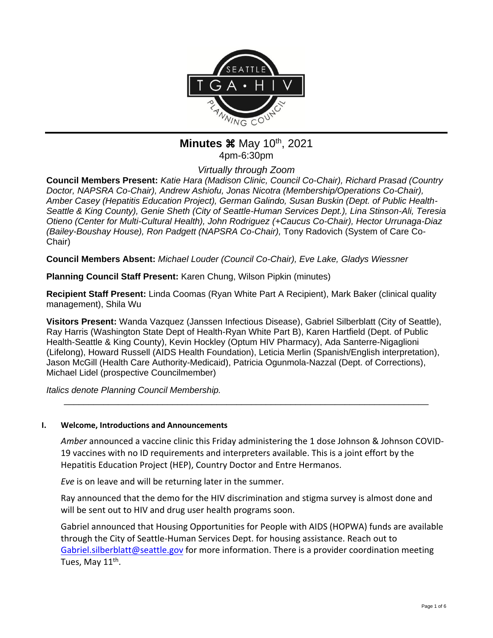

# **Minutes**  $\mathbb{R}$  **May 10<sup>th</sup>, 2021** 4pm-6:30pm

*Virtually through Zoom*

**Council Members Present:** *Katie Hara (Madison Clinic, Council Co-Chair), Richard Prasad (Country Doctor, NAPSRA Co-Chair), Andrew Ashiofu, Jonas Nicotra (Membership/Operations Co-Chair), Amber Casey (Hepatitis Education Project), German Galindo, Susan Buskin (Dept. of Public Health-Seattle & King County), Genie Sheth (City of Seattle-Human Services Dept.), Lina Stinson-Ali, Teresia Otieno (Center for Multi-Cultural Health), John Rodriguez (+Caucus Co-Chair), Hector Urrunaga-Diaz (Bailey-Boushay House), Ron Padgett (NAPSRA Co-Chair),* Tony Radovich (System of Care Co-Chair)

**Council Members Absent:** *Michael Louder (Council Co-Chair), Eve Lake, Gladys Wiessner*

**Planning Council Staff Present:** Karen Chung, Wilson Pipkin (minutes)

**Recipient Staff Present:** Linda Coomas (Ryan White Part A Recipient), Mark Baker (clinical quality management), Shila Wu

**Visitors Present:** Wanda Vazquez (Janssen Infectious Disease), Gabriel Silberblatt (City of Seattle), Ray Harris (Washington State Dept of Health-Ryan White Part B), Karen Hartfield (Dept. of Public Health-Seattle & King County), Kevin Hockley (Optum HIV Pharmacy), Ada Santerre-Nigaglioni (Lifelong), Howard Russell (AIDS Health Foundation), Leticia Merlin (Spanish/English interpretation), Jason McGill (Health Care Authority-Medicaid), Patricia Ogunmola-Nazzal (Dept. of Corrections), Michael Lidel (prospective Councilmember)

\_\_\_\_\_\_\_\_\_\_\_\_\_\_\_\_\_\_\_\_\_\_\_\_\_\_\_\_\_\_\_\_\_\_\_\_\_\_\_\_\_\_\_\_\_\_\_\_\_\_\_\_\_\_\_\_\_\_\_\_\_\_\_\_\_\_\_\_\_\_\_\_\_\_

*Italics denote Planning Council Membership.* 

### **I. Welcome, Introductions and Announcements**

*Amber* announced a vaccine clinic this Friday administering the 1 dose Johnson & Johnson COVID-19 vaccines with no ID requirements and interpreters available. This is a joint effort by the Hepatitis Education Project (HEP), Country Doctor and Entre Hermanos.

*Eve* is on leave and will be returning later in the summer.

Ray announced that the demo for the HIV discrimination and stigma survey is almost done and will be sent out to HIV and drug user health programs soon.

Gabriel announced that Housing Opportunities for People with AIDS (HOPWA) funds are available through the City of Seattle-Human Services Dept. for housing assistance. Reach out to [Gabriel.silberblatt@seattle.gov](mailto:Gabriel.silberblatt@seattle.gov) for more information. There is a provider coordination meeting Tues, May 11<sup>th</sup>.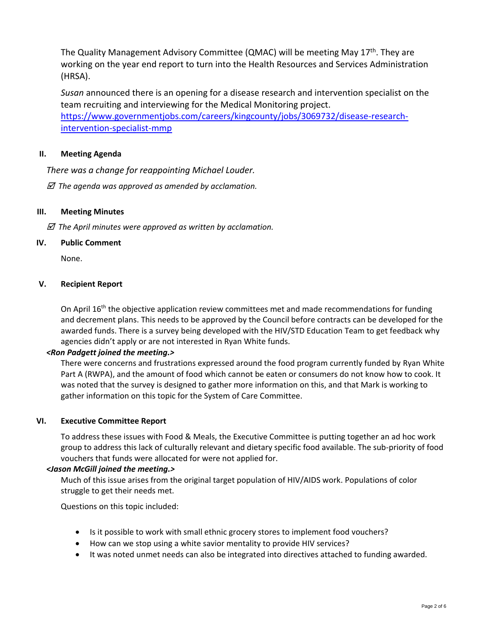The Quality Management Advisory Committee (QMAC) will be meeting May 17<sup>th</sup>. They are working on the year end report to turn into the Health Resources and Services Administration (HRSA).

*Susan* announced there is an opening for a disease research and intervention specialist on the team recruiting and interviewing for the Medical Monitoring project. [https://www.governmentjobs.com/careers/kingcounty/jobs/3069732/disease-research](https://www.governmentjobs.com/careers/kingcounty/jobs/3069732/disease-research-intervention-specialist-mmp)[intervention-specialist-mmp](https://www.governmentjobs.com/careers/kingcounty/jobs/3069732/disease-research-intervention-specialist-mmp)

# **II. Meeting Agenda**

*There was a change for reappointing Michael Louder.*

 *The agenda was approved as amended by acclamation.*

### **III. Meeting Minutes**

 *The April minutes were approved as written by acclamation.*

### **IV. Public Comment**

None.

# **V. Recipient Report**

On April  $16<sup>th</sup>$  the objective application review committees met and made recommendations for funding and decrement plans. This needs to be approved by the Council before contracts can be developed for the awarded funds. There is a survey being developed with the HIV/STD Education Team to get feedback why agencies didn't apply or are not interested in Ryan White funds.

### *<Ron Padgett joined the meeting.>*

There were concerns and frustrations expressed around the food program currently funded by Ryan White Part A (RWPA), and the amount of food which cannot be eaten or consumers do not know how to cook. It was noted that the survey is designed to gather more information on this, and that Mark is working to gather information on this topic for the System of Care Committee.

### **VI. Executive Committee Report**

To address these issues with Food & Meals, the Executive Committee is putting together an ad hoc work group to address this lack of culturally relevant and dietary specific food available. The sub-priority of food vouchers that funds were allocated for were not applied for.

### *<Jason McGill joined the meeting.>*

Much of this issue arises from the original target population of HIV/AIDS work. Populations of color struggle to get their needs met.

Questions on this topic included:

- Is it possible to work with small ethnic grocery stores to implement food vouchers?
- How can we stop using a white savior mentality to provide HIV services?
- It was noted unmet needs can also be integrated into directives attached to funding awarded.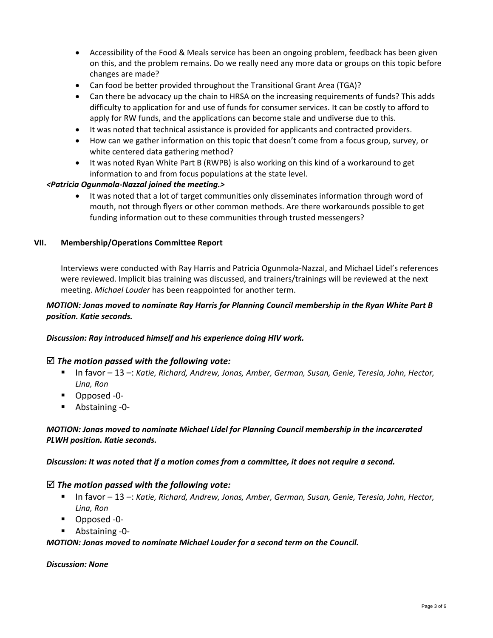- Accessibility of the Food & Meals service has been an ongoing problem, feedback has been given on this, and the problem remains. Do we really need any more data or groups on this topic before changes are made?
- Can food be better provided throughout the Transitional Grant Area (TGA)?
- Can there be advocacy up the chain to HRSA on the increasing requirements of funds? This adds difficulty to application for and use of funds for consumer services. It can be costly to afford to apply for RW funds, and the applications can become stale and undiverse due to this.
- It was noted that technical assistance is provided for applicants and contracted providers.
- How can we gather information on this topic that doesn't come from a focus group, survey, or white centered data gathering method?
- It was noted Ryan White Part B (RWPB) is also working on this kind of a workaround to get information to and from focus populations at the state level.

### *<Patricia Ogunmola-Nazzal joined the meeting.>*

• It was noted that a lot of target communities only disseminates information through word of mouth, not through flyers or other common methods. Are there workarounds possible to get funding information out to these communities through trusted messengers?

#### **VII. Membership/Operations Committee Report**

Interviews were conducted with Ray Harris and Patricia Ogunmola-Nazzal, and Michael Lidel's references were reviewed. Implicit bias training was discussed, and trainers/trainings will be reviewed at the next meeting. *Michael Louder* has been reappointed for another term.

### *MOTION: Jonas moved to nominate Ray Harris for Planning Council membership in the Ryan White Part B position. Katie seconds.*

#### *Discussion: Ray introduced himself and his experience doing HIV work.*

### *The motion passed with the following vote:*

- In favor 13 –: *Katie, Richard, Andrew, Jonas, Amber, German, Susan, Genie, Teresia, John, Hector, Lina, Ron*
- Opposed -0-
- Abstaining -0-

### *MOTION: Jonas moved to nominate Michael Lidel for Planning Council membership in the incarcerated PLWH position. Katie seconds.*

#### *Discussion: It was noted that if a motion comes from a committee, it does not require a second.*

### *The motion passed with the following vote:*

- In favor 13 –: *Katie, Richard, Andrew, Jonas, Amber, German, Susan, Genie, Teresia, John, Hector, Lina, Ron*
- Opposed -0-
- Abstaining -0-

#### *MOTION: Jonas moved to nominate Michael Louder for a second term on the Council.*

#### *Discussion: None*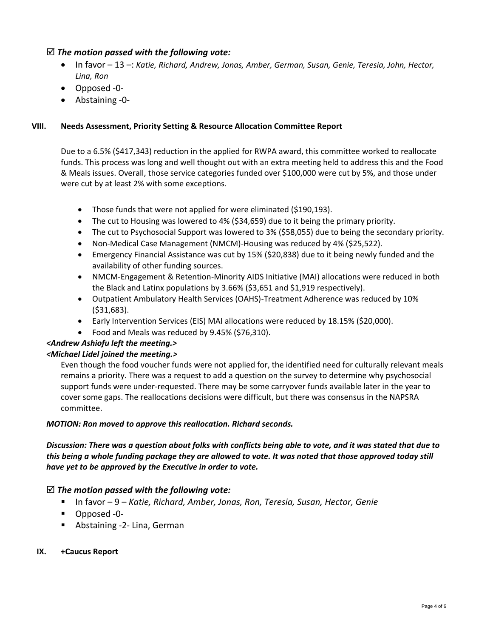# *The motion passed with the following vote:*

- In favor 13 –: *Katie, Richard, Andrew, Jonas, Amber, German, Susan, Genie, Teresia, John, Hector, Lina, Ron*
- Opposed -0-
- Abstaining -0-

### **VIII. Needs Assessment, Priority Setting & Resource Allocation Committee Report**

Due to a 6.5% (\$417,343) reduction in the applied for RWPA award, this committee worked to reallocate funds. This process was long and well thought out with an extra meeting held to address this and the Food & Meals issues. Overall, those service categories funded over \$100,000 were cut by 5%, and those under were cut by at least 2% with some exceptions.

- Those funds that were not applied for were eliminated (\$190,193).
- The cut to Housing was lowered to 4% (\$34,659) due to it being the primary priority.
- The cut to Psychosocial Support was lowered to 3% (\$58,055) due to being the secondary priority.
- Non-Medical Case Management (NMCM)-Housing was reduced by 4% (\$25,522).
- Emergency Financial Assistance was cut by 15% (\$20,838) due to it being newly funded and the availability of other funding sources.
- NMCM-Engagement & Retention-Minority AIDS Initiative (MAI) allocations were reduced in both the Black and Latinx populations by 3.66% (\$3,651 and \$1,919 respectively).
- Outpatient Ambulatory Health Services (OAHS)-Treatment Adherence was reduced by 10% (\$31,683).
- Early Intervention Services (EIS) MAI allocations were reduced by 18.15% (\$20,000).
- Food and Meals was reduced by 9.45% (\$76,310).

# *<Andrew Ashiofu left the meeting.>*

### *<Michael Lidel joined the meeting.>*

Even though the food voucher funds were not applied for, the identified need for culturally relevant meals remains a priority. There was a request to add a question on the survey to determine why psychosocial support funds were under-requested. There may be some carryover funds available later in the year to cover some gaps. The reallocations decisions were difficult, but there was consensus in the NAPSRA committee.

### *MOTION: Ron moved to approve this reallocation. Richard seconds.*

# *Discussion: There was a question about folks with conflicts being able to vote, and it was stated that due to this being a whole funding package they are allowed to vote. It was noted that those approved today still have yet to be approved by the Executive in order to vote.*

### *The motion passed with the following vote:*

- In favor 9 *Katie, Richard, Amber, Jonas, Ron, Teresia, Susan, Hector, Genie*
- Opposed -0-
- Abstaining -2- Lina, German
- **IX. +Caucus Report**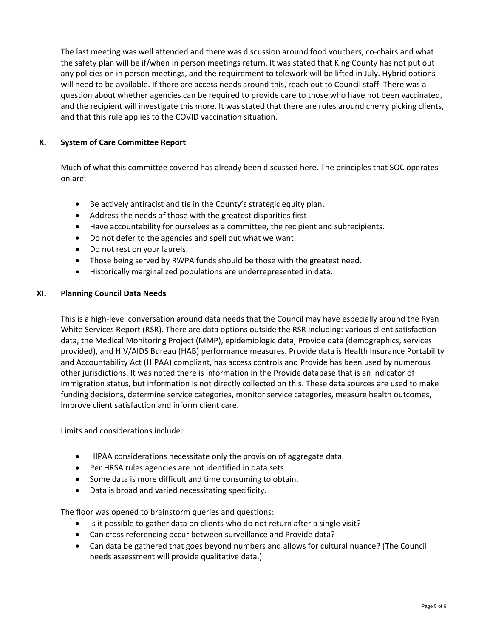The last meeting was well attended and there was discussion around food vouchers, co-chairs and what the safety plan will be if/when in person meetings return. It was stated that King County has not put out any policies on in person meetings, and the requirement to telework will be lifted in July. Hybrid options will need to be available. If there are access needs around this, reach out to Council staff. There was a question about whether agencies can be required to provide care to those who have not been vaccinated, and the recipient will investigate this more. It was stated that there are rules around cherry picking clients, and that this rule applies to the COVID vaccination situation.

# **X. System of Care Committee Report**

Much of what this committee covered has already been discussed here. The principles that SOC operates on are:

- Be actively antiracist and tie in the County's strategic equity plan.
- Address the needs of those with the greatest disparities first
- Have accountability for ourselves as a committee, the recipient and subrecipients.
- Do not defer to the agencies and spell out what we want.
- Do not rest on your laurels.
- Those being served by RWPA funds should be those with the greatest need.
- Historically marginalized populations are underrepresented in data.

#### **XI. Planning Council Data Needs**

This is a high-level conversation around data needs that the Council may have especially around the Ryan White Services Report (RSR). There are data options outside the RSR including: various client satisfaction data, the Medical Monitoring Project (MMP), epidemiologic data, Provide data (demographics, services provided), and HIV/AIDS Bureau (HAB) performance measures. Provide data is Health Insurance Portability and Accountability Act (HIPAA) compliant, has access controls and Provide has been used by numerous other jurisdictions. It was noted there is information in the Provide database that is an indicator of immigration status, but information is not directly collected on this. These data sources are used to make funding decisions, determine service categories, monitor service categories, measure health outcomes, improve client satisfaction and inform client care.

Limits and considerations include:

- HIPAA considerations necessitate only the provision of aggregate data.
- Per HRSA rules agencies are not identified in data sets.
- Some data is more difficult and time consuming to obtain.
- Data is broad and varied necessitating specificity.

The floor was opened to brainstorm queries and questions:

- Is it possible to gather data on clients who do not return after a single visit?
- Can cross referencing occur between surveillance and Provide data?
- Can data be gathered that goes beyond numbers and allows for cultural nuance? (The Council needs assessment will provide qualitative data.)